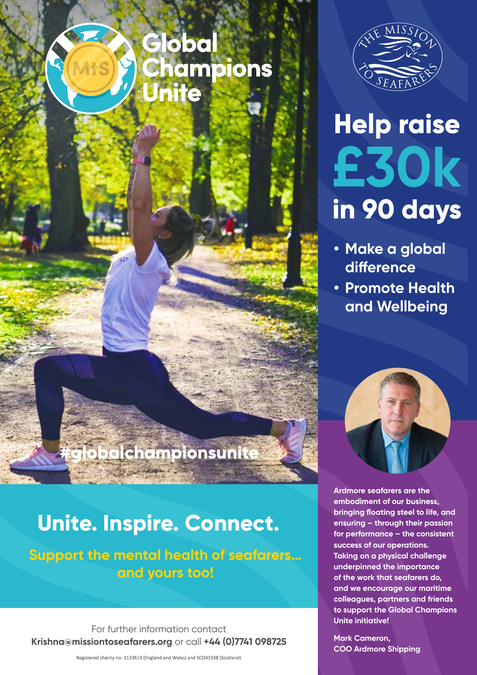## Global Champions nite



## **Help raise** £30k in 90 days

- **• Make a global difference**
- **• Promote Health and Wellbeing**



**Ardmore seafarers are the embodiment of our business, bringing floating steel to life, and ensuring – through their passion for performance – the consistent success of our operations. Taking on a physical challenge underpinned the importance of the work that seafarers do, and we encourage our maritime colleagues, partners and friends to support the Global Champions Unite initiative!**

**Mark Cameron, COO Ardmore Shipping**

## globalchampionsunite

## **Unite. Inspire. Connect.**

#### **Support the mental health of seafarers… and yours too!**

For further information contact **Krishna@missiontoseafarers.org** or call **+44 (0)7741 098725**